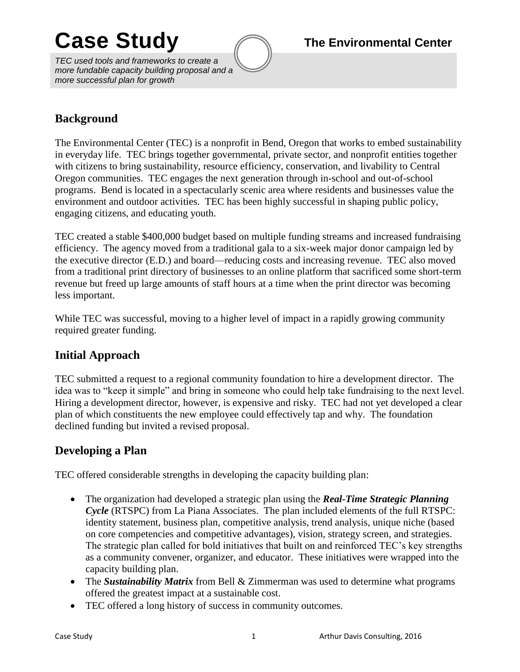# Case Study **The Environmental Center**

*TEC used tools and frameworks to create a more fundable capacity building proposal and a more successful plan for growth*

## **Background**

The Environmental Center (TEC) is a nonprofit in Bend, Oregon that works to embed sustainability in everyday life. TEC brings together governmental, private sector, and nonprofit entities together with citizens to bring sustainability, resource efficiency, conservation, and livability to Central Oregon communities. TEC engages the next generation through in-school and out-of-school programs. Bend is located in a spectacularly scenic area where residents and businesses value the environment and outdoor activities. TEC has been highly successful in shaping public policy, engaging citizens, and educating youth.

TEC created a stable \$400,000 budget based on multiple funding streams and increased fundraising efficiency. The agency moved from a traditional gala to a six-week major donor campaign led by the executive director (E.D.) and board—reducing costs and increasing revenue. TEC also moved from a traditional print directory of businesses to an online platform that sacrificed some short-term revenue but freed up large amounts of staff hours at a time when the print director was becoming less important.

While TEC was successful, moving to a higher level of impact in a rapidly growing community required greater funding.

## **Initial Approach**

TEC submitted a request to a regional community foundation to hire a development director. The idea was to "keep it simple" and bring in someone who could help take fundraising to the next level. Hiring a development director, however, is expensive and risky. TEC had not yet developed a clear plan of which constituents the new employee could effectively tap and why. The foundation declined funding but invited a revised proposal.

## **Developing a Plan**

TEC offered considerable strengths in developing the capacity building plan:

- The organization had developed a strategic plan using the *Real-Time Strategic Planning Cycle* (RTSPC) from La Piana Associates. The plan included elements of the full RTSPC: identity statement, business plan, competitive analysis, trend analysis, unique niche (based on core competencies and competitive advantages), vision, strategy screen, and strategies. The strategic plan called for bold initiatives that built on and reinforced TEC's key strengths as a community convener, organizer, and educator. These initiatives were wrapped into the capacity building plan.
- The *Sustainability Matrix* from Bell & Zimmerman was used to determine what programs offered the greatest impact at a sustainable cost.
- TEC offered a long history of success in community outcomes.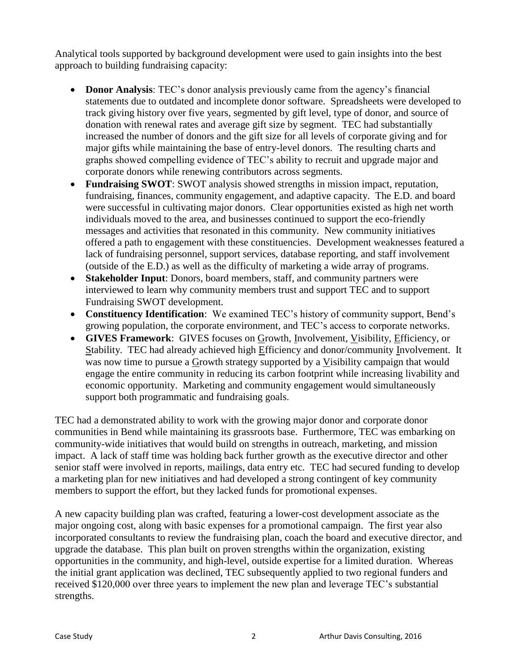Analytical tools supported by background development were used to gain insights into the best approach to building fundraising capacity:

- **Donor Analysis**: TEC's donor analysis previously came from the agency's financial statements due to outdated and incomplete donor software. Spreadsheets were developed to track giving history over five years, segmented by gift level, type of donor, and source of donation with renewal rates and average gift size by segment. TEC had substantially increased the number of donors and the gift size for all levels of corporate giving and for major gifts while maintaining the base of entry-level donors. The resulting charts and graphs showed compelling evidence of TEC's ability to recruit and upgrade major and corporate donors while renewing contributors across segments.
- **Fundraising SWOT**: SWOT analysis showed strengths in mission impact, reputation, fundraising, finances, community engagement, and adaptive capacity. The E.D. and board were successful in cultivating major donors. Clear opportunities existed as high net worth individuals moved to the area, and businesses continued to support the eco-friendly messages and activities that resonated in this community. New community initiatives offered a path to engagement with these constituencies. Development weaknesses featured a lack of fundraising personnel, support services, database reporting, and staff involvement (outside of the E.D.) as well as the difficulty of marketing a wide array of programs.
- **Stakeholder Input**: Donors, board members, staff, and community partners were interviewed to learn why community members trust and support TEC and to support Fundraising SWOT development.
- **Constituency Identification**: We examined TEC's history of community support, Bend's growing population, the corporate environment, and TEC's access to corporate networks.
- **GIVES Framework**: GIVES focuses on Growth, Involvement, Visibility, Efficiency, or Stability. TEC had already achieved high Efficiency and donor/community Involvement. It was now time to pursue a Growth strategy supported by a Visibility campaign that would engage the entire community in reducing its carbon footprint while increasing livability and economic opportunity. Marketing and community engagement would simultaneously support both programmatic and fundraising goals.

TEC had a demonstrated ability to work with the growing major donor and corporate donor communities in Bend while maintaining its grassroots base. Furthermore, TEC was embarking on community-wide initiatives that would build on strengths in outreach, marketing, and mission impact. A lack of staff time was holding back further growth as the executive director and other senior staff were involved in reports, mailings, data entry etc. TEC had secured funding to develop a marketing plan for new initiatives and had developed a strong contingent of key community members to support the effort, but they lacked funds for promotional expenses.

A new capacity building plan was crafted, featuring a lower-cost development associate as the major ongoing cost, along with basic expenses for a promotional campaign. The first year also incorporated consultants to review the fundraising plan, coach the board and executive director, and upgrade the database. This plan built on proven strengths within the organization, existing opportunities in the community, and high-level, outside expertise for a limited duration. Whereas the initial grant application was declined, TEC subsequently applied to two regional funders and received \$120,000 over three years to implement the new plan and leverage TEC's substantial strengths.